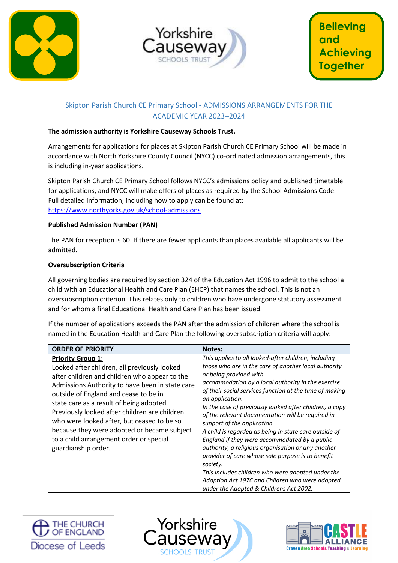



# Skipton Parish Church CE Primary School - ADMISSIONS ARRANGEMENTS FOR THE ACADEMIC YEAR 2023–2024

## **The admission authority is Yorkshire Causeway Schools Trust.**

Arrangements for applications for places at Skipton Parish Church CE Primary School will be made in accordance with North Yorkshire County Council (NYCC) co-ordinated admission arrangements, this is including in-year applications.

Skipton Parish Church CE Primary School follows NYCC's admissions policy and published timetable for applications, and NYCC will make offers of places as required by the School Admissions Code. Full detailed information, including how to apply can be found at; <https://www.northyorks.gov.uk/school-admissions>

### **Published Admission Number (PAN)**

The PAN for reception is 60. If there are fewer applicants than places available all applicants will be admitted.

### **Oversubscription Criteria**

All governing bodies are required by section 324 of the Education Act 1996 to admit to the school a child with an Educational Health and Care Plan (EHCP) that names the school. This is not an oversubscription criterion. This relates only to children who have undergone statutory assessment and for whom a final Educational Health and Care Plan has been issued.

If the number of applications exceeds the PAN after the admission of children where the school is named in the Education Health and Care Plan the following oversubscription criteria will apply:

| <b>ORDER OF PRIORITY</b>                                                                                                                                                                                                                                                                                                                                                                                                                                                          | <b>Notes:</b>                                                                                                                                                                                                                                                                                                                                                                                                                                                                                                                                                                                                                                                                                                                                                                                                 |
|-----------------------------------------------------------------------------------------------------------------------------------------------------------------------------------------------------------------------------------------------------------------------------------------------------------------------------------------------------------------------------------------------------------------------------------------------------------------------------------|---------------------------------------------------------------------------------------------------------------------------------------------------------------------------------------------------------------------------------------------------------------------------------------------------------------------------------------------------------------------------------------------------------------------------------------------------------------------------------------------------------------------------------------------------------------------------------------------------------------------------------------------------------------------------------------------------------------------------------------------------------------------------------------------------------------|
| <b>Priority Group 1:</b><br>Looked after children, all previously looked<br>after children and children who appear to the<br>Admissions Authority to have been in state care<br>outside of England and cease to be in<br>state care as a result of being adopted.<br>Previously looked after children are children<br>who were looked after, but ceased to be so<br>because they were adopted or became subject<br>to a child arrangement order or special<br>guardianship order. | This applies to all looked-after children, including<br>those who are in the care of another local authority<br>or being provided with<br>accommodation by a local authority in the exercise<br>of their social services function at the time of making<br>an application.<br>In the case of previously looked after children, a copy<br>of the relevant documentation will be required in<br>support of the application.<br>A child is regarded as being in state care outside of<br>England if they were accommodated by a public<br>authority, a religious organisation or any another<br>provider of care whose sole purpose is to benefit<br>society.<br>This includes children who were adopted under the<br>Adoption Act 1976 and Children who were adopted<br>under the Adopted & Childrens Act 2002. |





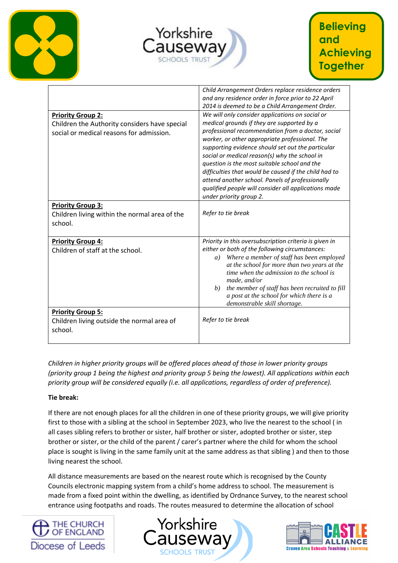





|                                                                                                                       | Child Arrangement Orders replace residence orders<br>and any residence order in force prior to 22 April<br>2014 is deemed to be a Child Arrangement Order.                                                                                                                                                                                                                                                                                                                                                                                                |
|-----------------------------------------------------------------------------------------------------------------------|-----------------------------------------------------------------------------------------------------------------------------------------------------------------------------------------------------------------------------------------------------------------------------------------------------------------------------------------------------------------------------------------------------------------------------------------------------------------------------------------------------------------------------------------------------------|
| <b>Priority Group 2:</b><br>Children the Authority considers have special<br>social or medical reasons for admission. | We will only consider applications on social or<br>medical grounds if they are supported by a<br>professional recommendation from a doctor, social<br>worker, or other appropriate professional. The<br>supporting evidence should set out the particular<br>social or medical reason(s) why the school in<br>question is the most suitable school and the<br>difficulties that would be caused if the child had to<br>attend another school. Panels of professionally<br>qualified people will consider all applications made<br>under priority group 2. |
| <b>Priority Group 3:</b><br>Children living within the normal area of the<br>school.                                  | Refer to tie break                                                                                                                                                                                                                                                                                                                                                                                                                                                                                                                                        |
| <b>Priority Group 4:</b><br>Children of staff at the school.                                                          | Priority in this oversubscription criteria is given in<br>either or both of the following circumstances:<br>Where a member of staff has been employed<br>a)<br>at the school for more than two years at the<br>time when the admission to the school is<br>made, and/or<br>the member of staff has been recruited to fill<br>b)<br>a post at the school for which there is a<br>demonstrable skill shortage.                                                                                                                                              |
| <b>Priority Group 5:</b><br>Children living outside the normal area of<br>school.                                     | Refer to tie break                                                                                                                                                                                                                                                                                                                                                                                                                                                                                                                                        |

*Children in higher priority groups will be offered places ahead of those in lower priority groups (priority group 1 being the highest and priority group 5 being the lowest). All applications within each priority group will be considered equally (i.e. all applications, regardless of order of preference).*

## **Tie break:**

If there are not enough places for all the children in one of these priority groups, we will give priority first to those with a sibling at the school in September 2023, who live the nearest to the school ( in all cases sibling refers to brother or sister, half brother or sister, adopted brother or sister, step brother or sister, or the child of the parent / carer's partner where the child for whom the school place is sought is living in the same family unit at the same address as that sibling ) and then to those living nearest the school.

All distance measurements are based on the nearest route which is recognised by the County Councils electronic mapping system from a child's home address to school. The measurement is made from a fixed point within the dwelling, as identified by Ordnance Survey, to the nearest school entrance using footpaths and roads. The routes measured to determine the allocation of school